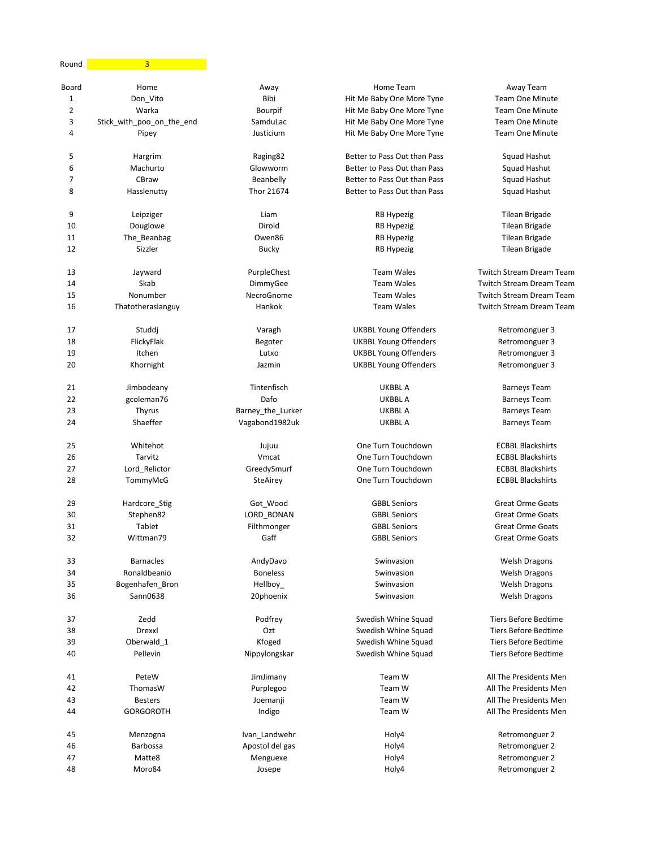| Round | 3                         |                   |                              |                                 |
|-------|---------------------------|-------------------|------------------------------|---------------------------------|
| Board | Home                      | Away              | Home Team                    | Away Team                       |
| 1     | Don_Vito                  | Bibi              | Hit Me Baby One More Tyne    | <b>Team One Minute</b>          |
| 2     | Warka                     | Bourpif           | Hit Me Baby One More Tyne    | <b>Team One Minute</b>          |
| 3     | Stick_with_poo_on_the_end | SamduLac          | Hit Me Baby One More Tyne    | <b>Team One Minute</b>          |
| 4     | Pipey                     | Justicium         | Hit Me Baby One More Tyne    | <b>Team One Minute</b>          |
| 5     | Hargrim                   | Raging82          | Better to Pass Out than Pass | Squad Hashut                    |
| 6     | Machurto                  | Glowworm          | Better to Pass Out than Pass | Squad Hashut                    |
| 7     | CBraw                     | Beanbelly         | Better to Pass Out than Pass | Squad Hashut                    |
| 8     | Hasslenutty               | Thor 21674        | Better to Pass Out than Pass | Squad Hashut                    |
| 9     | Leipziger                 | Liam              | RB Hypezig                   | <b>Tilean Brigade</b>           |
| 10    | Douglowe                  | Dirold            | <b>RB Hypezig</b>            | Tilean Brigade                  |
| 11    | The_Beanbag               | Owen86            | <b>RB Hypezig</b>            | <b>Tilean Brigade</b>           |
| 12    | Sizzler                   | <b>Bucky</b>      | RB Hypezig                   | Tilean Brigade                  |
| 13    | Jayward                   | PurpleChest       | <b>Team Wales</b>            | <b>Twitch Stream Dream Team</b> |
| 14    | Skab                      | DimmyGee          | <b>Team Wales</b>            | Twitch Stream Dream Team        |
| 15    | Nonumber                  | NecroGnome        | <b>Team Wales</b>            | <b>Twitch Stream Dream Team</b> |
| 16    | Thatotherasianguy         | Hankok            | <b>Team Wales</b>            | <b>Twitch Stream Dream Team</b> |
| 17    | Studdj                    | Varagh            | <b>UKBBL Young Offenders</b> | Retromonguer 3                  |
| 18    | FlickyFlak                | Begoter           | <b>UKBBL Young Offenders</b> | Retromonguer 3                  |
| 19    | Itchen                    | Lutxo             | <b>UKBBL Young Offenders</b> | Retromonguer 3                  |
| 20    | Khornight                 | Jazmin            | <b>UKBBL Young Offenders</b> | Retromonguer 3                  |
| 21    | Jimbodeany                | Tintenfisch       | <b>UKBBL A</b>               | <b>Barneys Team</b>             |
| 22    | gcoleman76                | Dafo              | <b>UKBBL A</b>               | <b>Barneys Team</b>             |
| 23    | <b>Thyrus</b>             | Barney_the_Lurker | <b>UKBBL A</b>               | <b>Barneys Team</b>             |
| 24    | Shaeffer                  | Vagabond1982uk    | UKBBL A                      | <b>Barneys Team</b>             |
| 25    | Whitehot                  | Jujuu             | One Turn Touchdown           | <b>ECBBL Blackshirts</b>        |
| 26    | Tarvitz                   | Vmcat             | One Turn Touchdown           | <b>ECBBL Blackshirts</b>        |
| 27    | Lord_Relictor             | GreedySmurf       | One Turn Touchdown           | <b>ECBBL Blackshirts</b>        |
| 28    | TommyMcG                  | <b>SteAirey</b>   | One Turn Touchdown           | <b>ECBBL Blackshirts</b>        |
| 29    | Hardcore_Stig             | Got Wood          | <b>GBBL Seniors</b>          | <b>Great Orme Goats</b>         |
| 30    | Stephen82                 | LORD_BONAN        | <b>GBBL Seniors</b>          | <b>Great Orme Goats</b>         |
| 31    | Tablet                    | Filthmonger       | <b>GBBL Seniors</b>          | <b>Great Orme Goats</b>         |
| 32    | Wittman79                 | Gaff              | <b>GBBL Seniors</b>          | Great Orme Goats                |
| 33    | <b>Barnacles</b>          | AndyDavo          | Swinvasion                   | <b>Welsh Dragons</b>            |
| 34    | Ronaldbeanio              | <b>Boneless</b>   | Swinvasion                   | <b>Welsh Dragons</b>            |
| 35    | Bogenhafen Bron           | Hellboy_          | Swinvasion                   | <b>Welsh Dragons</b>            |
| 36    | Sann0638                  | 20phoenix         | Swinvasion                   | <b>Welsh Dragons</b>            |
| 37    | Zedd                      | Podfrey           | Swedish Whine Squad          | <b>Tiers Before Bedtime</b>     |
| 38    | Drexxl                    | Ozt               | Swedish Whine Squad          | <b>Tiers Before Bedtime</b>     |
| 39    | Oberwald_1                | Kfoged            | Swedish Whine Squad          | <b>Tiers Before Bedtime</b>     |
| 40    | Pellevin                  | Nippylongskar     | Swedish Whine Squad          | <b>Tiers Before Bedtime</b>     |
| 41    | PeteW                     | JimJimany         | Team W                       | All The Presidents Men          |
| 42    | ThomasW                   | Purplegoo         | Team W                       | All The Presidents Men          |
| 43    | <b>Besters</b>            | Joemanji          | Team W                       | All The Presidents Men          |
| 44    | <b>GORGOROTH</b>          | Indigo            | Team W                       | All The Presidents Men          |
| 45    | Menzogna                  | Ivan_Landwehr     | Holy4                        | Retromonguer 2                  |
| 46    | Barbossa                  | Apostol del gas   | Holy4                        | Retromonguer 2                  |
| 47    | Matte8                    | Menguexe          | Holy4                        | Retromonguer 2                  |
| 48    | Moro84                    | Josepe            | Holy4                        | Retromonguer 2                  |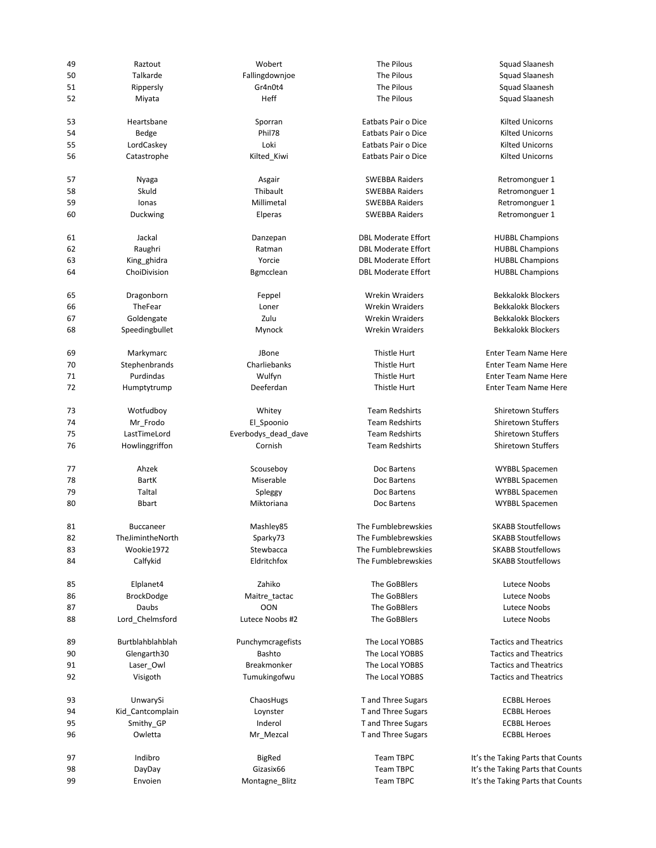| 49 | Raztout           | Wobert              | The Pilous                 | <b>Squad Slaanesl</b>     |
|----|-------------------|---------------------|----------------------------|---------------------------|
| 50 | Talkarde          | Fallingdownjoe      | The Pilous                 | <b>Squad Slaanesl</b>     |
| 51 | Rippersly         | Gr4n0t4             | The Pilous                 | <b>Squad Slaanesl</b>     |
| 52 | Miyata            | Heff                | The Pilous                 | <b>Squad Slaanesl</b>     |
| 53 | Heartsbane        | Sporran             | Eatbats Pair o Dice        | Kilted Unicorn:           |
| 54 | Bedge             | Phil78              | Eatbats Pair o Dice        | Kilted Unicorn:           |
| 55 | LordCaskey        | Loki                | Eatbats Pair o Dice        | Kilted Unicorn:           |
| 56 | Catastrophe       | Kilted_Kiwi         | Eatbats Pair o Dice        | Kilted Unicorn:           |
| 57 | Nyaga             | Asgair              | <b>SWEBBA Raiders</b>      | Retromonguer              |
| 58 | Skuld             | Thibault            | <b>SWEBBA Raiders</b>      | Retromonguer              |
| 59 | Ionas             | Millimetal          | <b>SWEBBA Raiders</b>      | Retromonguer              |
| 60 | Duckwing          | Elperas             | <b>SWEBBA Raiders</b>      | Retromonguer              |
|    |                   |                     |                            |                           |
| 61 | Jackal            | Danzepan            | <b>DBL Moderate Effort</b> | <b>HUBBL Champio</b>      |
| 62 | Raughri           | Ratman              | <b>DBL Moderate Effort</b> | <b>HUBBL Champio</b>      |
| 63 | King ghidra       | Yorcie              | <b>DBL Moderate Effort</b> | <b>HUBBL Champio</b>      |
| 64 | ChoiDivision      | Bgmcclean           | <b>DBL Moderate Effort</b> | <b>HUBBL Champio</b>      |
| 65 | Dragonborn        | Feppel              | <b>Wrekin Wraiders</b>     | Bekkalokk Block           |
| 66 | TheFear           | Loner               | <b>Wrekin Wraiders</b>     | Bekkalokk Block           |
| 67 | Goldengate        | Zulu                | <b>Wrekin Wraiders</b>     | <b>Bekkalokk Blocke</b>   |
| 68 | Speedingbullet    | Mynock              | <b>Wrekin Wraiders</b>     | <b>Bekkalokk Blocke</b>   |
| 69 | Markymarc         | JBone               | Thistle Hurt               | <b>Enter Team Name</b>    |
| 70 | Stephenbrands     | Charliebanks        | Thistle Hurt               | Enter Team Name           |
| 71 | Purdindas         | Wulfyn              | Thistle Hurt               | <b>Enter Team Name</b>    |
| 72 | Humptytrump       | Deeferdan           | Thistle Hurt               | <b>Enter Team Name</b>    |
| 73 | Wotfudboy         | Whitey              | <b>Team Redshirts</b>      | Shiretown Stuffe          |
| 74 | Mr_Frodo          | El_Spoonio          | <b>Team Redshirts</b>      | Shiretown Stuffe          |
| 75 | LastTimeLord      | Everbodys_dead_dave | <b>Team Redshirts</b>      | Shiretown Stuffe          |
| 76 | Howlinggriffon    | Cornish             | <b>Team Redshirts</b>      | Shiretown Stuffe          |
| 77 | Ahzek             | Scouseboy           | Doc Bartens                | <b>WYBBL Spaceme</b>      |
| 78 | <b>BartK</b>      | Miserable           | Doc Bartens                | <b>WYBBL Spaceme</b>      |
| 79 | Taltal            | Spleggy             | Doc Bartens                | <b>WYBBL Spaceme</b>      |
| 80 | <b>Bbart</b>      | Miktoriana          | Doc Bartens                | <b>WYBBL Spaceme</b>      |
| 81 | <b>Buccaneer</b>  | Mashley85           | The Fumblebrewskies        | <b>SKABB Stoutfello</b>   |
| 82 | TheJimintheNorth  | Sparky73            | The Fumblebrewskies        | <b>SKABB Stoutfello</b>   |
| 83 | Wookie1972        | Stewbacca           | The Fumblebrewskies        | <b>SKABB Stoutfello</b>   |
| 84 | Calfykid          | Eldritchfox         | The Fumblebrewskies        | <b>SKABB Stoutfello</b>   |
|    |                   |                     |                            |                           |
| 85 | Elplanet4         | Zahiko              | The GoBBlers               | Lutece Noobs              |
| 86 | <b>BrockDodge</b> | Maitre_tactac       | The GoBBlers               | <b>Lutece Noobs</b>       |
| 87 | Daubs             | <b>OON</b>          | The GoBBlers               | Lutece Noobs              |
| 88 | Lord_Chelmsford   | Lutece Noobs #2     | The GoBBlers               | <b>Lutece Noobs</b>       |
| 89 | Burtblahblahblah  | Punchymcragefists   | The Local YOBBS            | <b>Tactics and Theat</b>  |
| 90 | Glengarth30       | Bashto              | The Local YOBBS            | <b>Tactics and Theat</b>  |
| 91 | Laser_Owl         | Breakmonker         | The Local YOBBS            | <b>Tactics and Theat</b>  |
| 92 | Visigoth          | Tumukingofwu        | The Local YOBBS            | <b>Tactics and Theat</b>  |
| 93 | UnwarySi          | ChaosHugs           | T and Three Sugars         | <b>ECBBL Heroes</b>       |
| 94 | Kid_Cantcomplain  | Loynster            | T and Three Sugars         | <b>ECBBL Heroes</b>       |
| 95 | Smithy_GP         | Inderol             | T and Three Sugars         | <b>ECBBL Heroes</b>       |
| 96 | Owletta           | Mr_Mezcal           | T and Three Sugars         | <b>ECBBL Heroes</b>       |
| 97 | Indibro           | <b>BigRed</b>       | Team TBPC                  | It's the Taking Parts tha |
| 98 | DayDay            | Gizasix66           | Team TBPC                  | It's the Taking Parts tha |
| 99 | Envoien           | Montagne_Blitz      | Team TBPC                  | It's the Taking Parts tha |
|    |                   |                     |                            |                           |

SWEBBA Raiders Retromonguer 1

Thistle Hurt **Enter Team Name Here** Thistle Hurt **Enter Team Name Here** Thistle Hurt **Enter Team Name Here** Thistle Hurt **Deeferdan Thistle Hurt Enter Team Name Here** 

Team TBPC It's the Taking Parts that Counts Team TBPC **It's the Taking Parts that Counts** Envoys the Taking Parts that Counts Team TBPC It's the Taking Parts that Counts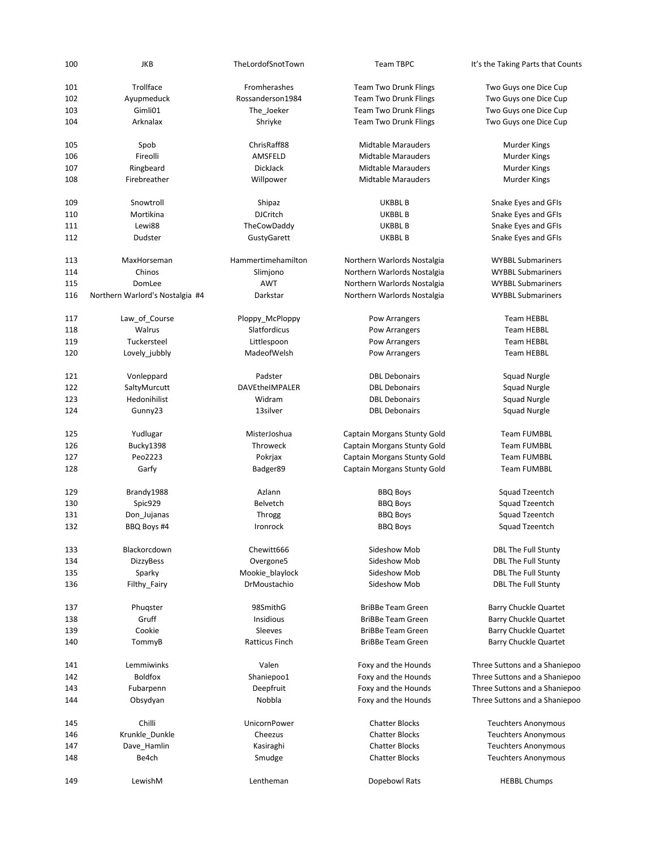|     | JKB                             | TheLordofSnotTown  | Team TBPC                    | It's the Taking Parts that Counts |
|-----|---------------------------------|--------------------|------------------------------|-----------------------------------|
| 101 | Trollface                       | Fromherashes       | <b>Team Two Drunk Flings</b> | Two Guys one Dice Cup             |
| 102 | Ayupmeduck                      | Rossanderson1984   | <b>Team Two Drunk Flings</b> | Two Guys one Dice Cup             |
| 103 | Gimli01                         | The_Joeker         | <b>Team Two Drunk Flings</b> | Two Guys one Dice Cup             |
| 104 | Arknalax                        | Shriyke            | <b>Team Two Drunk Flings</b> | Two Guys one Dice Cup             |
|     |                                 |                    |                              |                                   |
| 105 | Spob                            | ChrisRaff88        | <b>Midtable Marauders</b>    | Murder Kings                      |
| 106 | Fireolli                        | AMSFELD            | <b>Midtable Marauders</b>    | <b>Murder Kings</b>               |
| 107 | Ringbeard                       | DickJack           | <b>Midtable Marauders</b>    | Murder Kings                      |
| 108 | Firebreather                    | Willpower          | <b>Midtable Marauders</b>    | Murder Kings                      |
| 109 | Snowtroll                       | Shipaz             | UKBBL B                      | Snake Eyes and GFIs               |
| 110 | Mortikina                       | <b>DJCritch</b>    | <b>UKBBL B</b>               | Snake Eyes and GFIs               |
| 111 | Lewi88                          | TheCowDaddy        | UKBBL B                      | Snake Eyes and GFIs               |
| 112 | Dudster                         | GustyGarett        | UKBBL B                      | Snake Eyes and GFIs               |
|     |                                 |                    |                              |                                   |
| 113 | MaxHorseman                     | Hammertimehamilton | Northern Warlords Nostalgia  | <b>WYBBL Submariners</b>          |
| 114 | Chinos                          | Slimjono           | Northern Warlords Nostalgia  | <b>WYBBL Submariners</b>          |
| 115 | DomLee                          | <b>AWT</b>         | Northern Warlords Nostalgia  | <b>WYBBL Submariners</b>          |
| 116 | Northern Warlord's Nostalgia #4 | Darkstar           | Northern Warlords Nostalgia  | <b>WYBBL Submariners</b>          |
| 117 | Law_of_Course                   | Ploppy McPloppy    | Pow Arrangers                | <b>Team HEBBL</b>                 |
| 118 | Walrus                          | Slatfordicus       | Pow Arrangers                | <b>Team HEBBL</b>                 |
| 119 | Tuckersteel                     | Littlespoon        | Pow Arrangers                | <b>Team HEBBL</b>                 |
| 120 | Lovely jubbly                   | MadeofWelsh        | Pow Arrangers                | <b>Team HEBBL</b>                 |
|     |                                 |                    |                              |                                   |
| 121 | Vonleppard                      | Padster            | <b>DBL Debonairs</b>         | Squad Nurgle                      |
| 122 | SaltyMurcutt                    | DAVEtheIMPALER     | <b>DBL Debonairs</b>         | Squad Nurgle                      |
| 123 | Hedonihilist                    | Widram             | <b>DBL Debonairs</b>         | Squad Nurgle                      |
| 124 | Gunny23                         | 13silver           | <b>DBL Debonairs</b>         | Squad Nurgle                      |
|     |                                 |                    |                              |                                   |
| 125 | Yudlugar                        | MisterJoshua       | Captain Morgans Stunty Gold  | <b>Team FUMBBL</b>                |
| 126 | Bucky1398                       | Throweck           | Captain Morgans Stunty Gold  | <b>Team FUMBBL</b>                |
| 127 | Peo2223                         | Pokrjax            | Captain Morgans Stunty Gold  | <b>Team FUMBBL</b>                |
| 128 | Garfy                           | Badger89           | Captain Morgans Stunty Gold  | <b>Team FUMBBL</b>                |
| 129 | Brandy1988                      | Azlann             | <b>BBQ Boys</b>              | Squad Tzeentch                    |
|     |                                 |                    |                              |                                   |
| 130 | Spic929                         | Belvetch           | <b>BBQ Boys</b>              | Squad Tzeentch                    |
| 131 | Don Jujanas                     | Throgg             | <b>BBQ Boys</b>              | Squad Tzeentch                    |
| 132 | BBQ Boys #4                     | Ironrock           | <b>BBQ Boys</b>              | Squad Tzeentch                    |
| 133 | Blackorcdown                    | Chewitt666         | Sideshow Mob                 | <b>DBL The Full Stunty</b>        |
| 134 | <b>DizzyBess</b>                | Overgone5          | Sideshow Mob                 | <b>DBL The Full Stunty</b>        |
| 135 | Sparky                          | Mookie_blaylock    | Sideshow Mob                 | <b>DBL The Full Stunty</b>        |
| 136 | Filthy_Fairy                    | DrMoustachio       | Sideshow Mob                 | <b>DBL The Full Stunty</b>        |
| 137 | Phugster                        | 98SmithG           | <b>BriBBe Team Green</b>     | Barry Chuckle Quartet             |
|     | Gruff                           | Insidious          |                              |                                   |
| 138 |                                 |                    | <b>BriBBe Team Green</b>     | Barry Chuckle Quartet             |
| 139 | Cookie                          | Sleeves            | <b>BriBBe Team Green</b>     | Barry Chuckle Quartet             |
| 140 | TommyB                          | Ratticus Finch     | <b>BriBBe Team Green</b>     | <b>Barry Chuckle Quartet</b>      |
| 141 | Lemmiwinks                      | Valen              | Foxy and the Hounds          | Three Suttons and a Shaniepoo     |
| 142 | <b>Boldfox</b>                  | Shaniepoo1         | Foxy and the Hounds          | Three Suttons and a Shaniepoo     |
| 143 | Fubarpenn                       | Deepfruit          | Foxy and the Hounds          | Three Suttons and a Shaniepoo     |
| 144 | Obsydyan                        | Nobbla             | Foxy and the Hounds          | Three Suttons and a Shaniepoo     |
|     |                                 |                    |                              |                                   |
| 145 | Chilli                          | UnicornPower       | <b>Chatter Blocks</b>        | <b>Teuchters Anonymous</b>        |
| 146 | Krunkle_Dunkle                  | Cheezus            | <b>Chatter Blocks</b>        | <b>Teuchters Anonymous</b>        |
| 147 | Dave_Hamlin                     | Kasiraghi          | <b>Chatter Blocks</b>        | <b>Teuchters Anonymous</b>        |
| 148 | Be4ch                           | Smudge             | <b>Chatter Blocks</b>        | <b>Teuchters Anonymous</b>        |
| 149 | LewishM                         | Lentheman          | Dopebowl Rats                | <b>HEBBL Chumps</b>               |